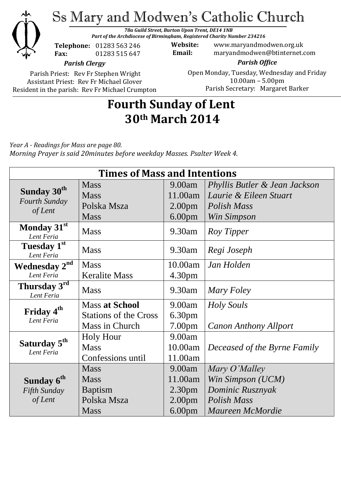

Ss Mary and Modwen's Catholic Church

*78a Guild Street, Burton Upon Trent, DE14 1NB Part of the Archdiocese of Birmingham, Registered Charity Number 234216*

**Telephone:** 01283 563 246 **Fax:** 01283 515 647

**Website:** www.maryandmodwen.org.uk **Email:** maryandmodwen@btinternet.com

*Parish Clergy*

Parish Priest: Rev Fr Stephen Wright Assistant Priest: Rev Fr Michael Glover Resident in the parish: Rev Fr Michael Crumpton

*Parish Office* Open Monday, Tuesday, Wednesday and Friday 10.00am – 5.00pm Parish Secretary:Margaret Barker

# **Fourth Sunday of Lent 30th March 2014**

*Year A - Readings for Mass are page 80. Morning Prayer is said 20minutes before weekday Masses. Psalter Week 4.*

| <b>Times of Mass and Intentions</b>                        |                              |                    |                               |
|------------------------------------------------------------|------------------------------|--------------------|-------------------------------|
| Sunday 30 <sup>th</sup><br><b>Fourth Sunday</b><br>of Lent | <b>Mass</b>                  | 9.00am             | Phyllis Butler & Jean Jackson |
|                                                            | <b>Mass</b>                  | 11.00am            | Laurie & Eileen Stuart        |
|                                                            | Polska Msza                  | 2.00 <sub>pm</sub> | Polish Mass                   |
|                                                            | <b>Mass</b>                  | 6.00 <sub>pm</sub> | Win Simpson                   |
| Monday 31st<br>Lent Feria                                  | <b>Mass</b>                  | 9.30am             | Roy Tipper                    |
| Tuesday $1^{\overline{\text{st}}}$<br>Lent Feria           | <b>Mass</b>                  | $9.30$ am          | Regi Joseph                   |
| <b>Wednesday 2nd</b>                                       | <b>Mass</b>                  | 10.00am            | Jan Holden                    |
| Lent Feria                                                 | <b>Keralite Mass</b>         | 4.30pm             |                               |
| Thursday 3rd<br>Lent Feria                                 | <b>Mass</b>                  | 9.30am             | Mary Foley                    |
| Friday 4 <sup>th</sup><br>Lent Feria                       | <b>Mass at School</b>        | 9.00am             | Holy Souls                    |
|                                                            | <b>Stations of the Cross</b> | 6.30 <sub>pm</sub> |                               |
|                                                            | Mass in Church               | 7.00 <sub>pm</sub> | <b>Canon Anthony Allport</b>  |
| Saturday 5 <sup>th</sup><br>Lent Feria                     | <b>Holy Hour</b>             | 9.00am             |                               |
|                                                            | <b>Mass</b>                  | 10.00am            | Deceased of the Byrne Family  |
|                                                            | Confessions until            | 11.00am            |                               |
|                                                            | <b>Mass</b>                  | 9.00am             | Mary O'Malley                 |
| Sunday 6 <sup>th</sup>                                     | <b>Mass</b>                  | 11.00am            | Win Simpson (UCM)             |
| Fifth Sunday                                               | <b>Baptism</b>               | 2.30 <sub>pm</sub> | Dominic Rusznyak              |
| of Lent                                                    | Polska Msza                  | 2.00 <sub>pm</sub> | Polish Mass                   |
|                                                            | <b>Mass</b>                  | 6.00 <sub>pm</sub> | Maureen McMordie              |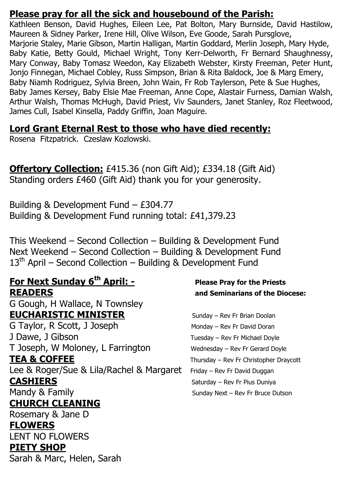### **Please pray for all the sick and housebound of the Parish:**

Kathleen Benson, David Hughes, Eileen Lee, Pat Bolton, Mary Burnside, David Hastilow, Maureen & Sidney Parker, Irene Hill, Olive Wilson, Eve Goode, Sarah Pursglove, Marjorie Staley, Marie Gibson, Martin Halligan, Martin Goddard, Merlin Joseph, Mary Hyde, Baby Katie, Betty Gould, Michael Wright, Tony Kerr-Delworth, Fr Bernard Shaughnessy, Mary Conway, Baby Tomasz Weedon, Kay Elizabeth Webster, Kirsty Freeman, Peter Hunt, Jonjo Finnegan, Michael Cobley, Russ Simpson, Brian & Rita Baldock, Joe & Marg Emery, Baby Niamh Rodriguez, Sylvia Breen, John Wain, Fr Rob Taylerson, Pete & Sue Hughes, Baby James Kersey, Baby Elsie Mae Freeman, Anne Cope, Alastair Furness, Damian Walsh, Arthur Walsh, Thomas McHugh, David Priest, Viv Saunders, Janet Stanley, Roz Fleetwood, James Cull, Isabel Kinsella, Paddy Griffin, Joan Maguire.

### **Lord Grant Eternal Rest to those who have died recently:**

Rosena Fitzpatrick. Czeslaw Kozlowski.

**Offertory Collection:** £415.36 (non Gift Aid); £334.18 (Gift Aid) Standing orders £460 (Gift Aid) thank you for your generosity.

Building & Development Fund – £304.77 Building & Development Fund running total: £41,379.23

This Weekend – Second Collection – Building & Development Fund Next Weekend – Second Collection – Building & Development Fund  $13<sup>th</sup>$  April – Second Collection – Building & Development Fund

### **For Next Sunday 6th April: - Please Pray for the Priests READERS and Seminarians of the Diocese:**

G Gough, H Wallace, N Townsley **EUCHARISTIC MINISTER** Sunday – Rev Fr Brian Doolan

G Taylor, R Scott, J Joseph Monday – Rev Fr David Doran J Dawe, J Gibson Tuesday – Rev Fr Michael Doyle T Joseph, W Moloney, L Farrington Wednesday – Rev Fr Gerard Doyle **TEA & COFFEE** Thursday – Rev Fr Christopher Draycott Lee & Roger/Sue & Lila/Rachel & Margaret Friday - Rev Fr David Duggan

# **CHURCH CLEANING**

Rosemary & Jane D **FLOWERS**  LENT NO FLOWERS **PIETY SHOP** Sarah & Marc, Helen, Sarah

**CASHIERS** Saturday – Rev Fr Pius Duniya Mandy & Family Sunday Next – Rev Fr Bruce Dutson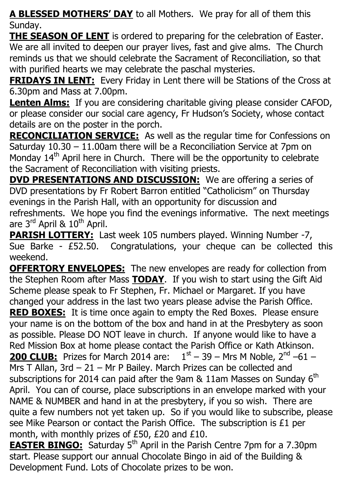**A BLESSED MOTHERS' DAY** to all Mothers. We pray for all of them this Sunday.

**THE SEASON OF LENT** is ordered to preparing for the celebration of Easter. We are all invited to deepen our prayer lives, fast and give alms. The Church reminds us that we should celebrate the Sacrament of Reconciliation, so that with purified hearts we may celebrate the paschal mysteries.

**FRIDAYS IN LENT:** Every Friday in Lent there will be Stations of the Cross at 6.30pm and Mass at 7.00pm.

**Lenten Alms:** If you are considering charitable giving please consider CAFOD, or please consider our social care agency, Fr Hudson's Society, whose contact details are on the poster in the porch.

**RECONCILIATION SERVICE:** As well as the regular time for Confessions on Saturday 10.30 – 11.00am there will be a Reconciliation Service at 7pm on Monday  $14<sup>th</sup>$  April here in Church. There will be the opportunity to celebrate the Sacrament of Reconciliation with visiting priests.

**DVD PRESENTATIONS AND DISCUSSION:** We are offering a series of DVD presentations by Fr Robert Barron entitled "Catholicism" on Thursday evenings in the Parish Hall, with an opportunity for discussion and refreshments. We hope you find the evenings informative. The next meetings are 3<sup>rd</sup> April & 10<sup>th</sup> April.

**PARISH LOTTERY:** Last week 105 numbers played. Winning Number -7, Sue Barke - £52.50. Congratulations, your cheque can be collected this weekend.

**OFFERTORY ENVELOPES:** The new envelopes are ready for collection from the Stephen Room after Mass **TODAY**. If you wish to start using the Gift Aid Scheme please speak to Fr Stephen, Fr. Michael or Margaret. If you have changed your address in the last two years please advise the Parish Office. **RED BOXES:** It is time once again to empty the Red Boxes. Please ensure your name is on the bottom of the box and hand in at the Presbytery as soon as possible. Please DO NOT leave in church. If anyone would like to have a Red Mission Box at home please contact the Parish Office or Kath Atkinson. **200 CLUB:** Prizes for March 2014 are:  $1<sup>st</sup> - 39 - Mrs M Noble$ ,  $2<sup>nd</sup> -61 -$ Mrs T Allan, 3rd – 21 – Mr P Bailey. March Prizes can be collected and subscriptions for 2014 can paid after the 9am  $&$  11am Masses on Sunday 6<sup>th</sup> April. You can of course, place subscriptions in an envelope marked with your NAME & NUMBER and hand in at the presbytery, if you so wish. There are quite a few numbers not yet taken up. So if you would like to subscribe, please see Mike Pearson or contact the Parish Office. The subscription is £1 per month, with monthly prizes of £50, £20 and £10.

**EASTER BINGO:** Saturday 5<sup>th</sup> April in the Parish Centre 7pm for a 7.30pm start. Please support our annual Chocolate Bingo in aid of the Building & Development Fund. Lots of Chocolate prizes to be won.